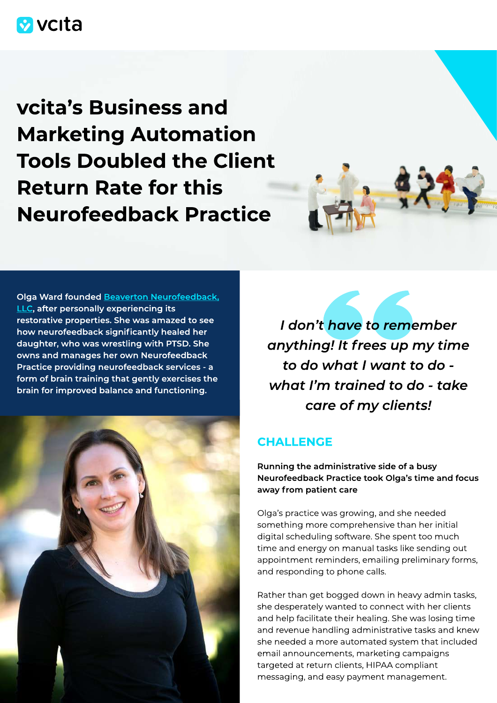# **M** vcita

vcita's Business and Marketing Automation Tools Doubled the Client Return Rate for this Neurofeedback Practice





I don't have to remember anything! It frees up my time to do what I want to do what I'm trained to do - take care of my clients!

### **CHALLENGE**

Running the administrative side of a busy Neurofeedback Practice took Olga's time and focus away from patient care

Olga's practice was growing, and she needed something more comprehensive than her initial digital scheduling software. She spent too much time and energy on manual tasks like sending out appointment reminders, emailing preliminary forms, and responding to phone calls.

Rather than get bogged down in heavy admin tasks, she desperately wanted to connect with her clients and help facilitate their healing. She was losing time and revenue handling administrative tasks and knew she needed a more automated system that included email announcements, marketing campaigns targeted at return clients, HIPAA compliant messaging, and easy payment management.